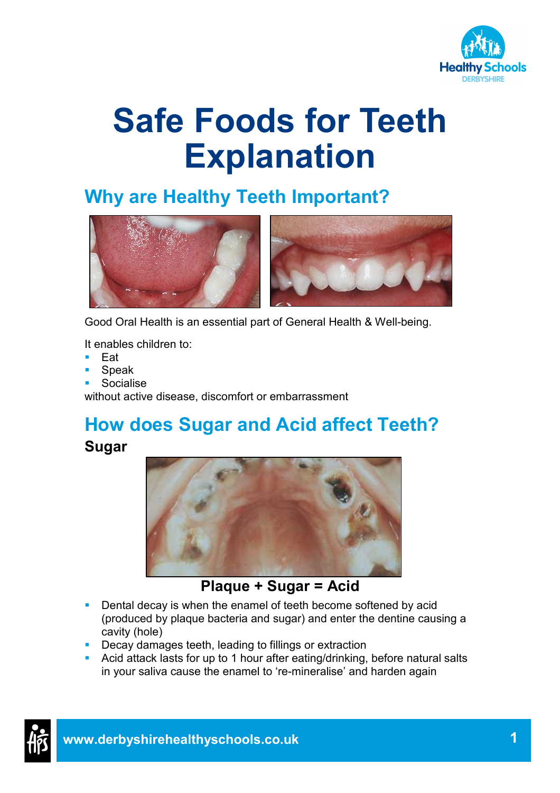

# Safe Foods for Teeth Explanation

## Why are Healthy Teeth Important?



Good Oral Health is an essential part of General Health & Well-being.

It enables children to:

- Eat
- Speak
- Socialise

without active disease, discomfort or embarrassment

#### How does Sugar and Acid affect Teeth? Sugar



Plaque + Sugar = Acid

- Dental decay is when the enamel of teeth become softened by acid (produced by plaque bacteria and sugar) and enter the dentine causing a cavity (hole)
- **Decay damages teeth, leading to fillings or extraction**
- Acid attack lasts for up to 1 hour after eating/drinking, before natural salts in your saliva cause the enamel to 're-mineralise' and harden again

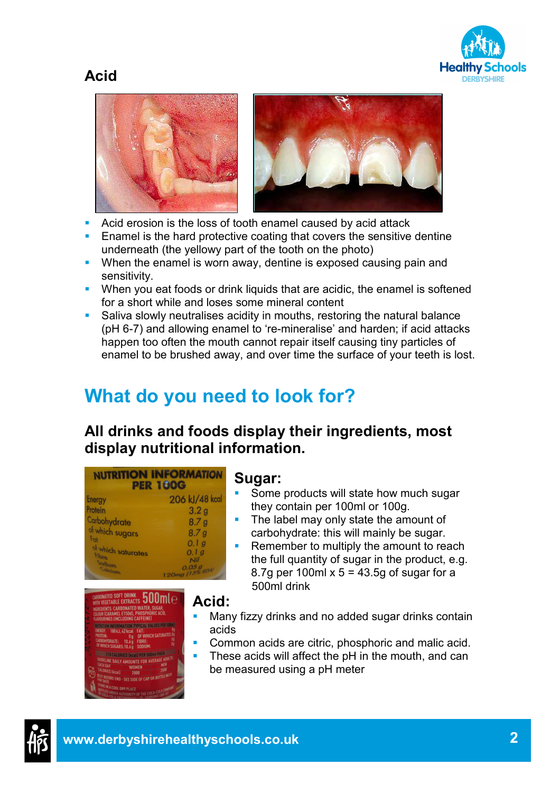#### Acid





- Acid erosion is the loss of tooth enamel caused by acid attack
- **Enamel is the hard protective coating that covers the sensitive dentine** underneath (the yellowy part of the tooth on the photo)
- When the enamel is worn away, dentine is exposed causing pain and sensitivity.
- When you eat foods or drink liquids that are acidic, the enamel is softened for a short while and loses some mineral content
- Saliva slowly neutralises acidity in mouths, restoring the natural balance (pH 6-7) and allowing enamel to 're-mineralise' and harden; if acid attacks happen too often the mouth cannot repair itself causing tiny particles of enamel to be brushed away, and over time the surface of your teeth is lost.

# What do you need to look for?

#### All drinks and foods display their ingredients, most display nutritional information.



### **ED SOFT DRINK 500 ml**  $\ominus$ BLE EXTRACTS<br>CARBONATED WATER, SUGAR,<br>MEL E150d), PHOSPHORIC ACID,<br>(INCLUDING CAFFEINE) MATION TYPICAL VALUES PER 100ml:<br>LA2 kcal LEAT: FAT:<br>Of Which Saturates: ( **RIES (kcall PER 500**

#### Sugar:

- Some products will state how much sugar they contain per 100ml or 100g.
- The label may only state the amount of carbohydrate: this will mainly be sugar.
- **Remember to multiply the amount to reach** the full quantity of sugar in the product, e.g. 8.7g per 100ml  $x$  5 = 43.5g of sugar for a 500ml drink
- Acid:
	- Many fizzy drinks and no added sugar drinks contain acids
- Common acids are citric, phosphoric and malic acid.
- These acids will affect the pH in the mouth, and can be measured using a pH meter